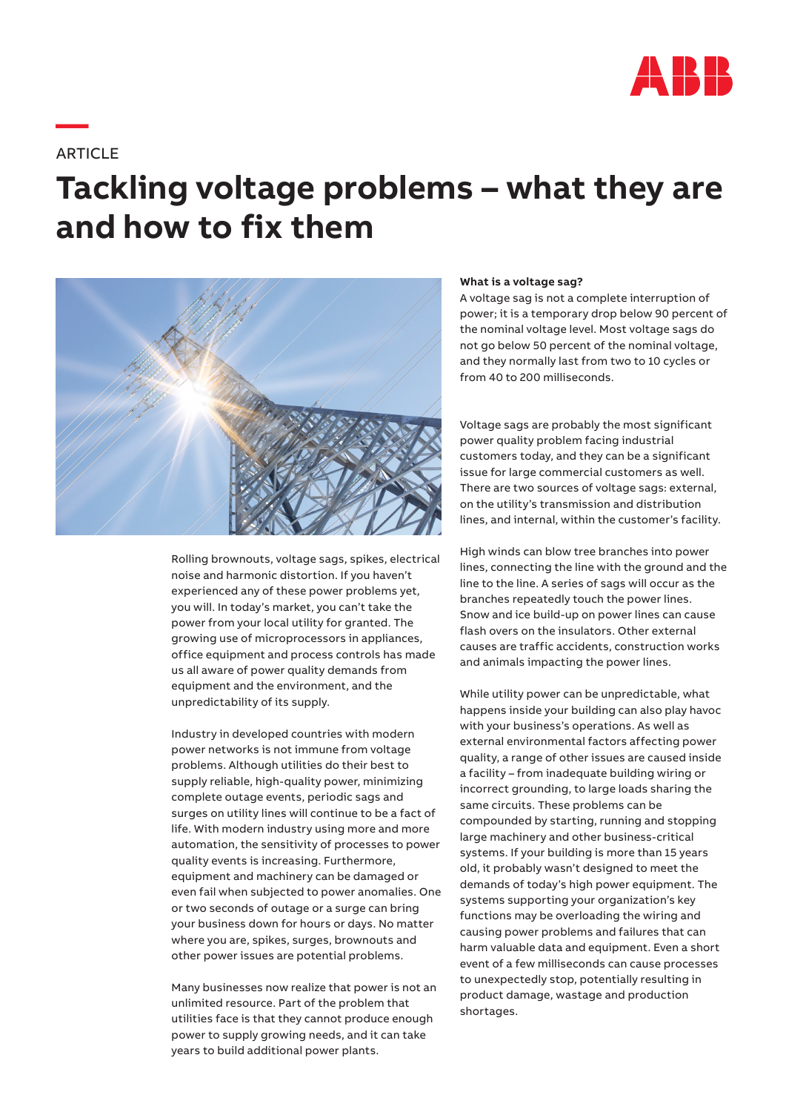

**ARTICLE** 

**—**

# **Tackling voltage problems – what they are and how to fix them**



Rolling brownouts, voltage sags, spikes, electrical noise and harmonic distortion. If you haven't experienced any of these power problems yet, you will. In today's market, you can't take the power from your local utility for granted. The growing use of microprocessors in appliances, office equipment and process controls has made us all aware of power quality demands from equipment and the environment, and the unpredictability of its supply.

Industry in developed countries with modern power networks is not immune from voltage problems. Although utilities do their best to supply reliable, high-quality power, minimizing complete outage events, periodic sags and surges on utility lines will continue to be a fact of life. With modern industry using more and more automation, the sensitivity of processes to power quality events is increasing. Furthermore, equipment and machinery can be damaged or even fail when subjected to power anomalies. One or two seconds of outage or a surge can bring your business down for hours or days. No matter where you are, spikes, surges, brownouts and other power issues are potential problems.

Many businesses now realize that power is not an unlimited resource. Part of the problem that utilities face is that they cannot produce enough power to supply growing needs, and it can take years to build additional power plants.

#### **What is a voltage sag?**

A voltage sag is not a complete interruption of power; it is a temporary drop below 90 percent of the nominal voltage level. Most voltage sags do not go below 50 percent of the nominal voltage, and they normally last from two to 10 cycles or from 40 to 200 milliseconds.

Voltage sags are probably the most significant power quality problem facing industrial customers today, and they can be a significant issue for large commercial customers as well. There are two sources of voltage sags: external, on the utility's transmission and distribution lines, and internal, within the customer's facility.

High winds can blow tree branches into power lines, connecting the line with the ground and the line to the line. A series of sags will occur as the branches repeatedly touch the power lines. Snow and ice build-up on power lines can cause flash overs on the insulators. Other external causes are traffic accidents, construction works and animals impacting the power lines.

While utility power can be unpredictable, what happens inside your building can also play havoc with your business's operations. As well as external environmental factors affecting power quality, a range of other issues are caused inside a facility – from inadequate building wiring or incorrect grounding, to large loads sharing the same circuits. These problems can be compounded by starting, running and stopping large machinery and other business-critical systems. If your building is more than 15 years old, it probably wasn't designed to meet the demands of today's high power equipment. The systems supporting your organization's key functions may be overloading the wiring and causing power problems and failures that can harm valuable data and equipment. Even a short event of a few milliseconds can cause processes to unexpectedly stop, potentially resulting in product damage, wastage and production shortages.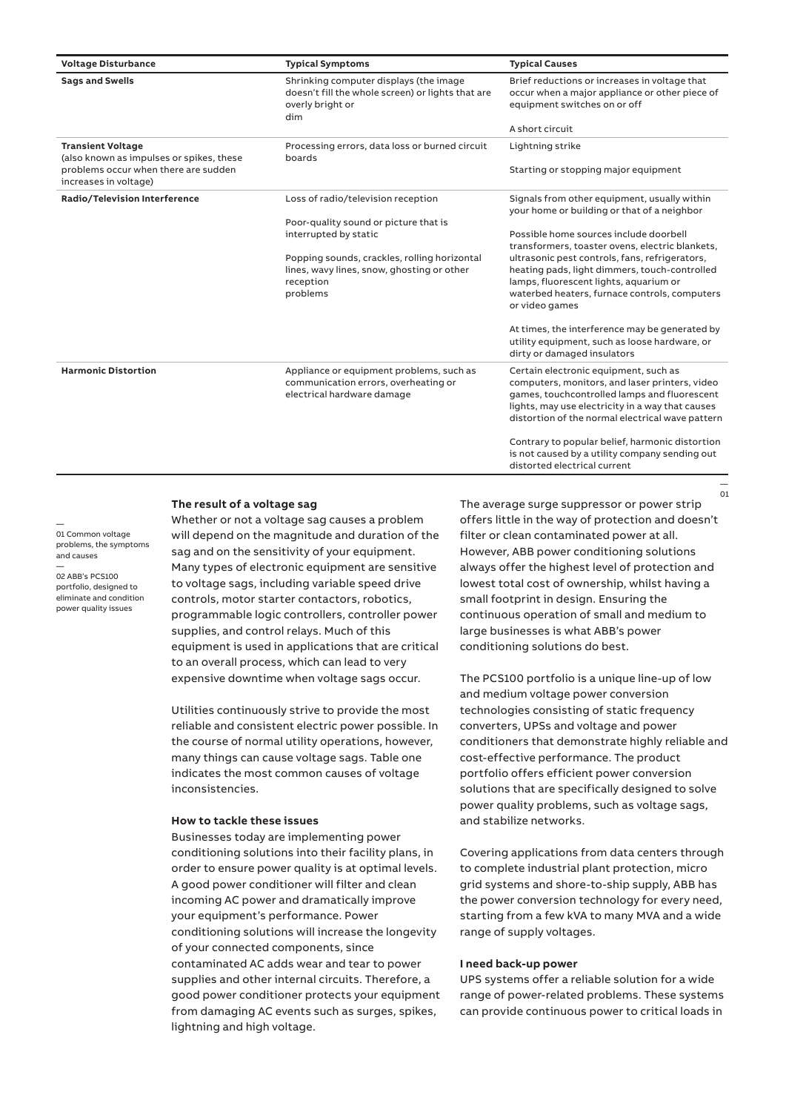| <b>Voltage Disturbance</b>                                           | <b>Typical Symptoms</b>                                                                                                | <b>Typical Causes</b>                                                                                                                                                                                                                           |
|----------------------------------------------------------------------|------------------------------------------------------------------------------------------------------------------------|-------------------------------------------------------------------------------------------------------------------------------------------------------------------------------------------------------------------------------------------------|
| <b>Sags and Swells</b>                                               | Shrinking computer displays (the image<br>doesn't fill the whole screen) or lights that are<br>overly bright or<br>dim | Brief reductions or increases in voltage that<br>occur when a major appliance or other piece of<br>equipment switches on or off                                                                                                                 |
|                                                                      |                                                                                                                        | A short circuit                                                                                                                                                                                                                                 |
| <b>Transient Voltage</b><br>(also known as impulses or spikes, these | Processing errors, data loss or burned circuit<br>boards                                                               | Lightning strike                                                                                                                                                                                                                                |
| problems occur when there are sudden<br>increases in voltage)        |                                                                                                                        | Starting or stopping major equipment                                                                                                                                                                                                            |
| Radio/Television Interference                                        | Loss of radio/television reception                                                                                     | Signals from other equipment, usually within<br>your home or building or that of a neighbor                                                                                                                                                     |
|                                                                      | Poor-quality sound or picture that is                                                                                  |                                                                                                                                                                                                                                                 |
|                                                                      | interrupted by static                                                                                                  | Possible home sources include doorbell<br>transformers, toaster ovens, electric blankets,                                                                                                                                                       |
|                                                                      | Popping sounds, crackles, rolling horizontal<br>lines, wavy lines, snow, ghosting or other                             | ultrasonic pest controls, fans, refrigerators,<br>heating pads, light dimmers, touch-controlled                                                                                                                                                 |
|                                                                      | reception<br>problems                                                                                                  | lamps, fluorescent lights, aquarium or<br>waterbed heaters, furnace controls, computers<br>or video games                                                                                                                                       |
|                                                                      |                                                                                                                        | At times, the interference may be generated by<br>utility equipment, such as loose hardware, or<br>dirty or damaged insulators                                                                                                                  |
| <b>Harmonic Distortion</b>                                           | Appliance or equipment problems, such as<br>communication errors, overheating or<br>electrical hardware damage         | Certain electronic equipment, such as<br>computers, monitors, and laser printers, video<br>games, touchcontrolled lamps and fluorescent<br>lights, may use electricity in a way that causes<br>distortion of the normal electrical wave pattern |
|                                                                      |                                                                                                                        | Contrary to popular belief, harmonic distortion<br>is not caused by a utility company sending out                                                                                                                                               |

## **The result of a voltage sag**

Whether or not a voltage sag causes a problem will depend on the magnitude and duration of the sag and on the sensitivity of your equipment. Many types of electronic equipment are sensitive to voltage sags, including variable speed drive controls, motor starter contactors, robotics, programmable logic controllers, controller power supplies, and control relays. Much of this equipment is used in applications that are critical to an overall process, which can lead to very expensive downtime when voltage sags occur.

Utilities continuously strive to provide the most reliable and consistent electric power possible. In the course of normal utility operations, however, many things can cause voltage sags. Table one indicates the most common causes of voltage inconsistencies.

#### **How to tackle these issues**

Businesses today are implementing power conditioning solutions into their facility plans, in order to ensure power quality is at optimal levels. A good power conditioner will filter and clean incoming AC power and dramatically improve your equipment's performance. Power conditioning solutions will increase the longevity of your connected components, since contaminated AC adds wear and tear to power supplies and other internal circuits. Therefore, a good power conditioner protects your equipment from damaging AC events such as surges, spikes, lightning and high voltage.

The average surge suppressor or power strip offers little in the way of protection and doesn't filter or clean contaminated power at all. However, ABB power conditioning solutions always offer the highest level of protection and lowest total cost of ownership, whilst having a small footprint in design. Ensuring the continuous operation of small and medium to large businesses is what ABB's power conditioning solutions do best.

distorted electrical current

—  $01$ 

The PCS100 portfolio is a unique line-up of low and medium voltage power conversion technologies consisting of static frequency converters, UPSs and voltage and power conditioners that demonstrate highly reliable and cost-effective performance. The product portfolio offers efficient power conversion solutions that are specifically designed to solve power quality problems, such as voltage sags, and stabilize networks.

Covering applications from data centers through to complete industrial plant protection, micro grid systems and shore-to-ship supply, ABB has the power conversion technology for every need, starting from a few kVA to many MVA and a wide range of supply voltages.

### **I need back-up power**

UPS systems offer a reliable solution for a wide range of power-related problems. These systems can provide continuous power to critical loads in

— 01 Common voltage problems, the symptoms and causes

02 ABB's PCS100 portfolio, designed to eliminate and condition power quality issues

—